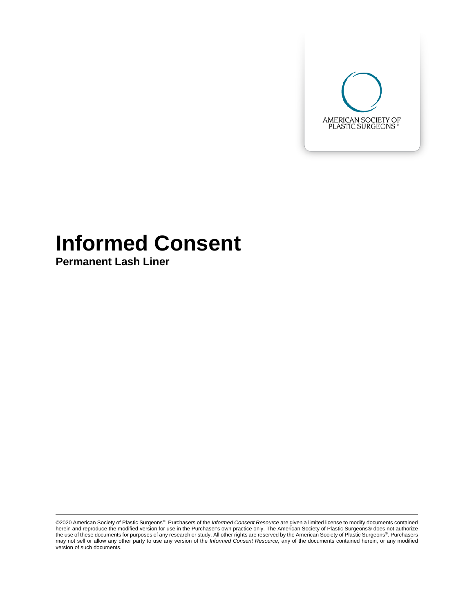

# **Informed Consent**

**Permanent Lash Liner**

©2020 American Society of Plastic Surgeons®. Purchasers of the *Informed Consent Resource* are given a limited license to modify documents contained herein and reproduce the modified version for use in the Purchaser's own practice only. The American Society of Plastic Surgeons® does not authorize the use of these documents for purposes of any research or study. All other rights are reserved by the American Society of Plastic Surgeons®. Purchasers may not sell or allow any other party to use any version of the *Informed Consent Resource,* any of the documents contained herein, or any modified version of such documents.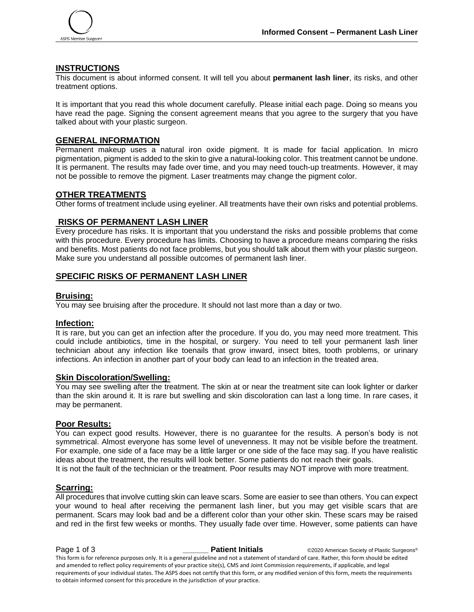

# **INSTRUCTIONS**

This document is about informed consent. It will tell you about **permanent lash liner**, its risks, and other treatment options.

It is important that you read this whole document carefully. Please initial each page. Doing so means you have read the page. Signing the consent agreement means that you agree to the surgery that you have talked about with your plastic surgeon.

# **GENERAL INFORMATION**

Permanent makeup uses a natural iron oxide pigment. It is made for facial application. In micro pigmentation, pigment is added to the skin to give a natural-looking color. This treatment cannot be undone. It is permanent. The results may fade over time, and you may need touch-up treatments. However, it may not be possible to remove the pigment. Laser treatments may change the pigment color.

# **OTHER TREATMENTS**

Other forms of treatment include using eyeliner. All treatments have their own risks and potential problems.

#### **RISKS OF PERMANENT LASH LINER**

Every procedure has risks. It is important that you understand the risks and possible problems that come with this procedure. Every procedure has limits. Choosing to have a procedure means comparing the risks and benefits. Most patients do not face problems, but you should talk about them with your plastic surgeon. Make sure you understand all possible outcomes of permanent lash liner.

# **SPECIFIC RISKS OF PERMANENT LASH LINER**

#### **Bruising:**

You may see bruising after the procedure. It should not last more than a day or two.

#### **Infection:**

It is rare, but you can get an infection after the procedure. If you do, you may need more treatment. This could include antibiotics, time in the hospital, or surgery. You need to tell your permanent lash liner technician about any infection like toenails that grow inward, insect bites, tooth problems, or urinary infections. An infection in another part of your body can lead to an infection in the treated area.

#### **Skin Discoloration/Swelling:**

You may see swelling after the treatment. The skin at or near the treatment site can look lighter or darker than the skin around it. It is rare but swelling and skin discoloration can last a long time. In rare cases, it may be permanent.

#### **Poor Results:**

You can expect good results. However, there is no guarantee for the results. A person's body is not symmetrical. Almost everyone has some level of unevenness. It may not be visible before the treatment. For example, one side of a face may be a little larger or one side of the face may sag. If you have realistic ideas about the treatment, the results will look better. Some patients do not reach their goals. It is not the fault of the technician or the treatment. Poor results may NOT improve with more treatment.

#### **Scarring:**

All procedures that involve cutting skin can leave scars. Some are easier to see than others. You can expect your wound to heal after receiving the permanent lash liner, but you may get visible scars that are permanent. Scars may look bad and be a different color than your other skin. These scars may be raised and red in the first few weeks or months. They usually fade over time. However, some patients can have

**Page 1 of 3 Patient Initials** ©2020 American Society of Plastic Surgeons® This form is for reference purposes only. It is a general guideline and not a statement of standard of care. Rather, this form should be edited and amended to reflect policy requirements of your practice site(s), CMS and Joint Commission requirements, if applicable, and legal requirements of your individual states. The ASPS does not certify that this form, or any modified version of this form, meets the requirements to obtain informed consent for this procedure in the jurisdiction of your practice.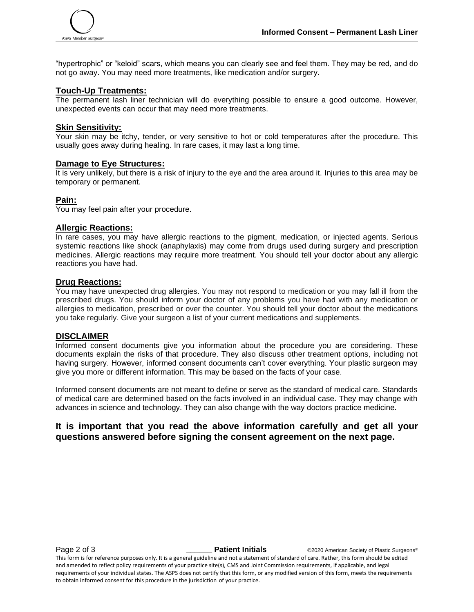

"hypertrophic" or "keloid" scars, which means you can clearly see and feel them. They may be red, and do not go away. You may need more treatments, like medication and/or surgery.

#### **Touch-Up Treatments:**

The permanent lash liner technician will do everything possible to ensure a good outcome. However, unexpected events can occur that may need more treatments.

#### **Skin Sensitivity:**

Your skin may be itchy, tender, or very sensitive to hot or cold temperatures after the procedure. This usually goes away during healing. In rare cases, it may last a long time.

#### **Damage to Eye Structures:**

It is very unlikely, but there is a risk of injury to the eye and the area around it. Injuries to this area may be temporary or permanent.

#### **Pain:**

You may feel pain after your procedure.

#### **Allergic Reactions:**

In rare cases, you may have allergic reactions to the pigment, medication, or injected agents. Serious systemic reactions like shock (anaphylaxis) may come from drugs used during surgery and prescription medicines. Allergic reactions may require more treatment. You should tell your doctor about any allergic reactions you have had.

#### **Drug Reactions:**

You may have unexpected drug allergies. You may not respond to medication or you may fall ill from the prescribed drugs. You should inform your doctor of any problems you have had with any medication or allergies to medication, prescribed or over the counter. You should tell your doctor about the medications you take regularly. Give your surgeon a list of your current medications and supplements.

#### **DISCLAIMER**

Informed consent documents give you information about the procedure you are considering. These documents explain the risks of that procedure. They also discuss other treatment options, including not having surgery. However, informed consent documents can't cover everything. Your plastic surgeon may give you more or different information. This may be based on the facts of your case.

Informed consent documents are not meant to define or serve as the standard of medical care. Standards of medical care are determined based on the facts involved in an individual case. They may change with advances in science and technology. They can also change with the way doctors practice medicine.

# **It is important that you read the above information carefully and get all your questions answered before signing the consent agreement on the next page.**

**Page 2 of 3 Patient Initials COVID-2020** American Society of Plastic Surgeons®